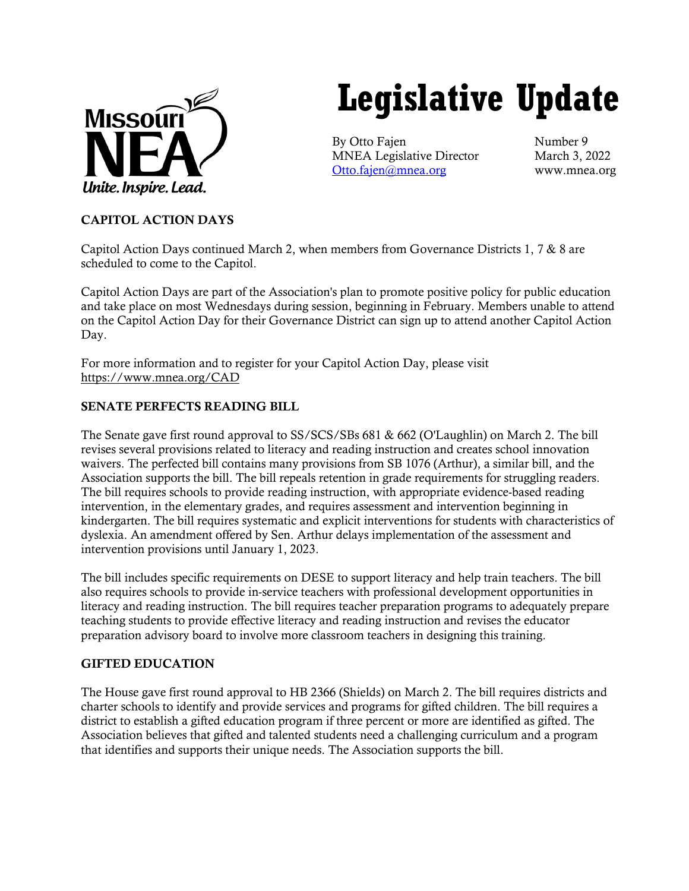

# **Legislative Update**

By Otto Fajen Number 9 MNEA Legislative Director March 3, 2022 [Otto.fajen@mnea.org](mailto:Otto.fajen@mnea.org) www.mnea.org

# CAPITOL ACTION DAYS

Capitol Action Days continued March 2, when members from Governance Districts 1, 7 & 8 are scheduled to come to the Capitol.

Capitol Action Days are part of the Association's plan to promote positive policy for public education and take place on most Wednesdays during session, beginning in February. Members unable to attend on the Capitol Action Day for their Governance District can sign up to attend another Capitol Action Day.

For more information and to register for your Capitol Action Day, please visit <https://www.mnea.org/CAD>

# SENATE PERFECTS READING BILL

The Senate gave first round approval to SS/SCS/SBs 681 & 662 (O'Laughlin) on March 2. The bill revises several provisions related to literacy and reading instruction and creates school innovation waivers. The perfected bill contains many provisions from SB 1076 (Arthur), a similar bill, and the Association supports the bill. The bill repeals retention in grade requirements for struggling readers. The bill requires schools to provide reading instruction, with appropriate evidence-based reading intervention, in the elementary grades, and requires assessment and intervention beginning in kindergarten. The bill requires systematic and explicit interventions for students with characteristics of dyslexia. An amendment offered by Sen. Arthur delays implementation of the assessment and intervention provisions until January 1, 2023.

The bill includes specific requirements on DESE to support literacy and help train teachers. The bill also requires schools to provide in-service teachers with professional development opportunities in literacy and reading instruction. The bill requires teacher preparation programs to adequately prepare teaching students to provide effective literacy and reading instruction and revises the educator preparation advisory board to involve more classroom teachers in designing this training.

### GIFTED EDUCATION

The House gave first round approval to HB 2366 (Shields) on March 2. The bill requires districts and charter schools to identify and provide services and programs for gifted children. The bill requires a district to establish a gifted education program if three percent or more are identified as gifted. The Association believes that gifted and talented students need a challenging curriculum and a program that identifies and supports their unique needs. The Association supports the bill.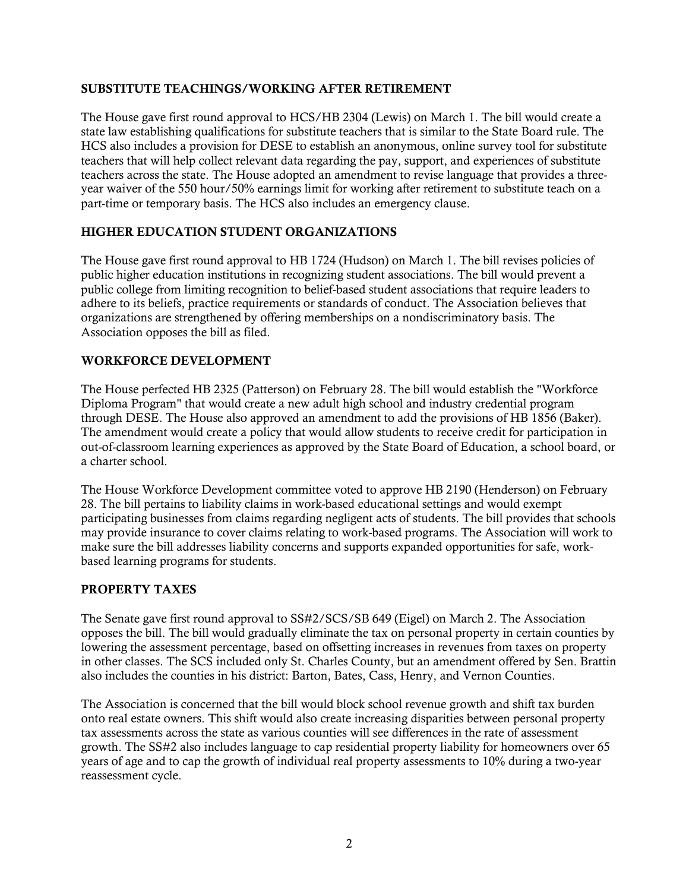### SUBSTITUTE TEACHINGS/WORKING AFTER RETIREMENT

The House gave first round approval to HCS/HB 2304 (Lewis) on March 1. The bill would create a state law establishing qualifications for substitute teachers that is similar to the State Board rule. The HCS also includes a provision for DESE to establish an anonymous, online survey tool for substitute teachers that will help collect relevant data regarding the pay, support, and experiences of substitute teachers across the state. The House adopted an amendment to revise language that provides a threeyear waiver of the 550 hour/50% earnings limit for working after retirement to substitute teach on a part-time or temporary basis. The HCS also includes an emergency clause.

# HIGHER EDUCATION STUDENT ORGANIZATIONS

The House gave first round approval to HB 1724 (Hudson) on March 1. The bill revises policies of public higher education institutions in recognizing student associations. The bill would prevent a public college from limiting recognition to belief-based student associations that require leaders to adhere to its beliefs, practice requirements or standards of conduct. The Association believes that organizations are strengthened by offering memberships on a nondiscriminatory basis. The Association opposes the bill as filed.

#### WORKFORCE DEVELOPMENT

The House perfected HB 2325 (Patterson) on February 28. The bill would establish the "Workforce Diploma Program" that would create a new adult high school and industry credential program through DESE. The House also approved an amendment to add the provisions of HB 1856 (Baker). The amendment would create a policy that would allow students to receive credit for participation in out-of-classroom learning experiences as approved by the State Board of Education, a school board, or a charter school.

The House Workforce Development committee voted to approve HB 2190 (Henderson) on February 28. The bill pertains to liability claims in work-based educational settings and would exempt participating businesses from claims regarding negligent acts of students. The bill provides that schools may provide insurance to cover claims relating to work-based programs. The Association will work to make sure the bill addresses liability concerns and supports expanded opportunities for safe, workbased learning programs for students.

### PROPERTY TAXES

The Senate gave first round approval to SS#2/SCS/SB 649 (Eigel) on March 2. The Association opposes the bill. The bill would gradually eliminate the tax on personal property in certain counties by lowering the assessment percentage, based on offsetting increases in revenues from taxes on property in other classes. The SCS included only St. Charles County, but an amendment offered by Sen. Brattin also includes the counties in his district: Barton, Bates, Cass, Henry, and Vernon Counties.

The Association is concerned that the bill would block school revenue growth and shift tax burden onto real estate owners. This shift would also create increasing disparities between personal property tax assessments across the state as various counties will see differences in the rate of assessment growth. The SS#2 also includes language to cap residential property liability for homeowners over 65 years of age and to cap the growth of individual real property assessments to 10% during a two-year reassessment cycle.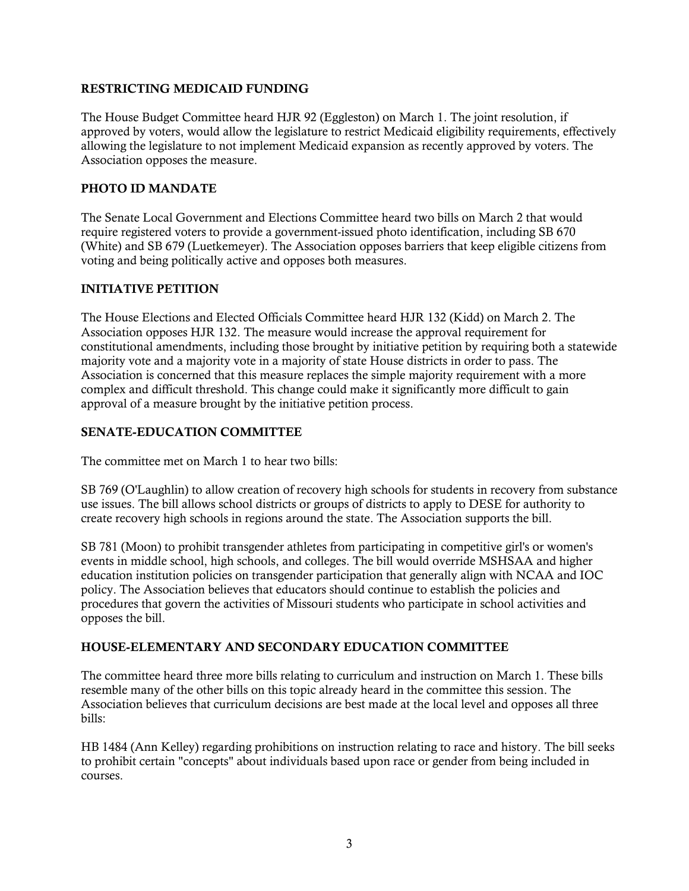#### RESTRICTING MEDICAID FUNDING

The House Budget Committee heard HJR 92 (Eggleston) on March 1. The joint resolution, if approved by voters, would allow the legislature to restrict Medicaid eligibility requirements, effectively allowing the legislature to not implement Medicaid expansion as recently approved by voters. The Association opposes the measure.

### PHOTO ID MANDATE

The Senate Local Government and Elections Committee heard two bills on March 2 that would require registered voters to provide a government-issued photo identification, including SB 670 (White) and SB 679 (Luetkemeyer). The Association opposes barriers that keep eligible citizens from voting and being politically active and opposes both measures.

#### INITIATIVE PETITION

The House Elections and Elected Officials Committee heard HJR 132 (Kidd) on March 2. The Association opposes HJR 132. The measure would increase the approval requirement for constitutional amendments, including those brought by initiative petition by requiring both a statewide majority vote and a majority vote in a majority of state House districts in order to pass. The Association is concerned that this measure replaces the simple majority requirement with a more complex and difficult threshold. This change could make it significantly more difficult to gain approval of a measure brought by the initiative petition process.

#### SENATE-EDUCATION COMMITTEE

The committee met on March 1 to hear two bills:

SB 769 (O'Laughlin) to allow creation of recovery high schools for students in recovery from substance use issues. The bill allows school districts or groups of districts to apply to DESE for authority to create recovery high schools in regions around the state. The Association supports the bill.

SB 781 (Moon) to prohibit transgender athletes from participating in competitive girl's or women's events in middle school, high schools, and colleges. The bill would override MSHSAA and higher education institution policies on transgender participation that generally align with NCAA and IOC policy. The Association believes that educators should continue to establish the policies and procedures that govern the activities of Missouri students who participate in school activities and opposes the bill.

### HOUSE-ELEMENTARY AND SECONDARY EDUCATION COMMITTEE

The committee heard three more bills relating to curriculum and instruction on March 1. These bills resemble many of the other bills on this topic already heard in the committee this session. The Association believes that curriculum decisions are best made at the local level and opposes all three bills:

HB 1484 (Ann Kelley) regarding prohibitions on instruction relating to race and history. The bill seeks to prohibit certain "concepts" about individuals based upon race or gender from being included in courses.